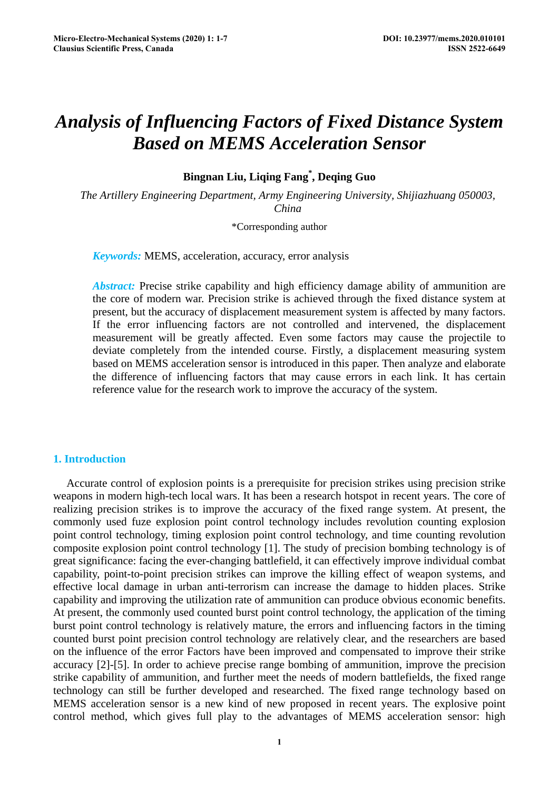# *Analysis of Influencing Factors of Fixed Distance System Based on MEMS Acceleration Sensor*

**Bingnan Liu, Liqing Fang\* , Deqing Guo**

*The Artillery Engineering Department, Army Engineering University, Shijiazhuang 050003, China* 

\*Corresponding author

*Keywords:* MEMS, acceleration, accuracy, error analysis

*Abstract:* Precise strike capability and high efficiency damage ability of ammunition are the core of modern war. Precision strike is achieved through the fixed distance system at present, but the accuracy of displacement measurement system is affected by many factors. If the error influencing factors are not controlled and intervened, the displacement measurement will be greatly affected. Even some factors may cause the projectile to deviate completely from the intended course. Firstly, a displacement measuring system based on MEMS acceleration sensor is introduced in this paper. Then analyze and elaborate the difference of influencing factors that may cause errors in each link. It has certain reference value for the research work to improve the accuracy of the system.

# **1. Introduction**

Accurate control of explosion points is a prerequisite for precision strikes using precision strike weapons in modern high-tech local wars. It has been a research hotspot in recent years. The core of realizing precision strikes is to improve the accuracy of the fixed range system. At present, the commonly used fuze explosion point control technology includes revolution counting explosion point control technology, timing explosion point control technology, and time counting revolution composite explosion point control technology [1]. The study of precision bombing technology is of great significance: facing the ever-changing battlefield, it can effectively improve individual combat capability, point-to-point precision strikes can improve the killing effect of weapon systems, and effective local damage in urban anti-terrorism can increase the damage to hidden places. Strike capability and improving the utilization rate of ammunition can produce obvious economic benefits. At present, the commonly used counted burst point control technology, the application of the timing burst point control technology is relatively mature, the errors and influencing factors in the timing counted burst point precision control technology are relatively clear, and the researchers are based on the influence of the error Factors have been improved and compensated to improve their strike accuracy [2]-[5]. In order to achieve precise range bombing of ammunition, improve the precision strike capability of ammunition, and further meet the needs of modern battlefields, the fixed range technology can still be further developed and researched. The fixed range technology based on MEMS acceleration sensor is a new kind of new proposed in recent years. The explosive point control method, which gives full play to the advantages of MEMS acceleration sensor: high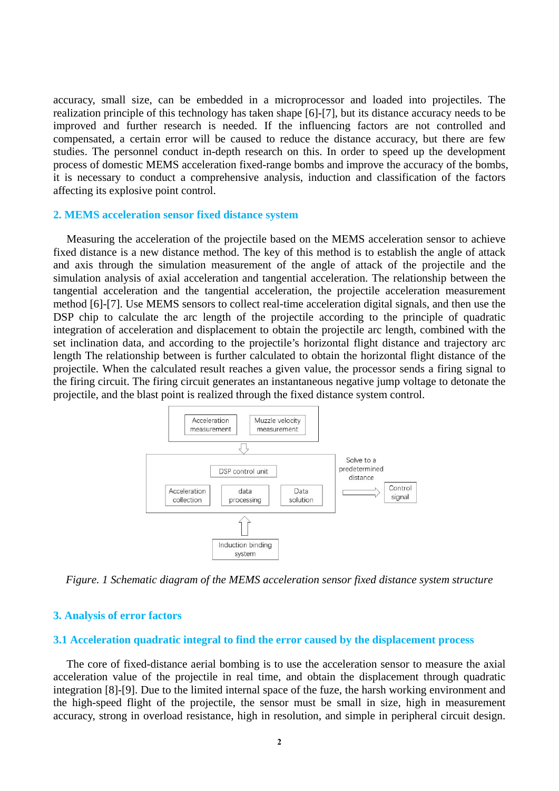accuracy, small size, can be embedded in a microprocessor and loaded into projectiles. The realization principle of this technology has taken shape [6]-[7], but its distance accuracy needs to be improved and further research is needed. If the influencing factors are not controlled and compensated, a certain error will be caused to reduce the distance accuracy, but there are few studies. The personnel conduct in-depth research on this. In order to speed up the development process of domestic MEMS acceleration fixed-range bombs and improve the accuracy of the bombs, it is necessary to conduct a comprehensive analysis, induction and classification of the factors affecting its explosive point control.

### **2. MEMS acceleration sensor fixed distance system**

Measuring the acceleration of the projectile based on the MEMS acceleration sensor to achieve fixed distance is a new distance method. The key of this method is to establish the angle of attack and axis through the simulation measurement of the angle of attack of the projectile and the simulation analysis of axial acceleration and tangential acceleration. The relationship between the tangential acceleration and the tangential acceleration, the projectile acceleration measurement method [6]-[7]. Use MEMS sensors to collect real-time acceleration digital signals, and then use the DSP chip to calculate the arc length of the projectile according to the principle of quadratic integration of acceleration and displacement to obtain the projectile arc length, combined with the set inclination data, and according to the projectile's horizontal flight distance and trajectory arc length The relationship between is further calculated to obtain the horizontal flight distance of the projectile. When the calculated result reaches a given value, the processor sends a firing signal to the firing circuit. The firing circuit generates an instantaneous negative jump voltage to detonate the projectile, and the blast point is realized through the fixed distance system control.



*Figure. 1 Schematic diagram of the MEMS acceleration sensor fixed distance system structure*

# **3. Analysis of error factors**

#### **3.1 Acceleration quadratic integral to find the error caused by the displacement process**

The core of fixed-distance aerial bombing is to use the acceleration sensor to measure the axial acceleration value of the projectile in real time, and obtain the displacement through quadratic integration [8]-[9]. Due to the limited internal space of the fuze, the harsh working environment and the high-speed flight of the projectile, the sensor must be small in size, high in measurement accuracy, strong in overload resistance, high in resolution, and simple in peripheral circuit design.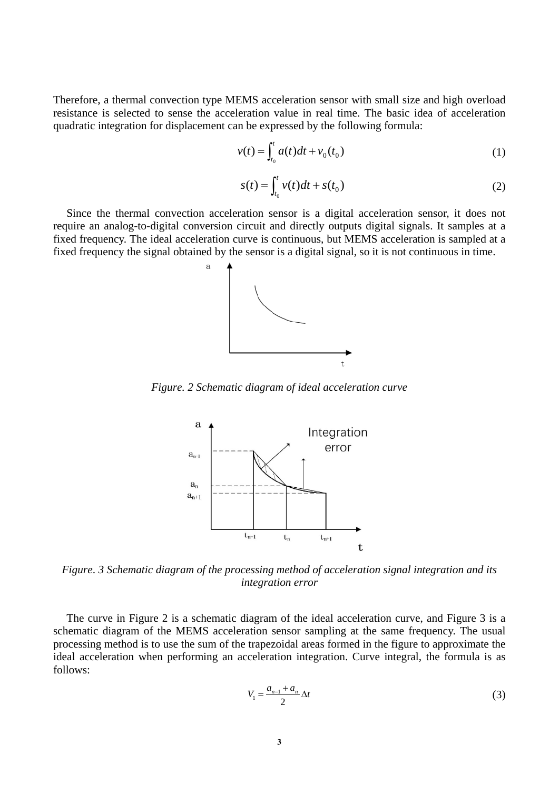Therefore, a thermal convection type MEMS acceleration sensor with small size and high overload resistance is selected to sense the acceleration value in real time. The basic idea of acceleration quadratic integration for displacement can be expressed by the following formula:

$$
v(t) = \int_{t_0}^t a(t)dt + v_0(t_0)
$$
 (1)

$$
s(t) = \int_{t_0}^t v(t)dt + s(t_0)
$$
 (2)

Since the thermal convection acceleration sensor is a digital acceleration sensor, it does not require an analog-to-digital conversion circuit and directly outputs digital signals. It samples at a fixed frequency. The ideal acceleration curve is continuous, but MEMS acceleration is sampled at a fixed frequency the signal obtained by the sensor is a digital signal, so it is not continuous in time.



*Figure. 2 Schematic diagram of ideal acceleration curve*



*Figure*. *3 Schematic diagram of the processing method of acceleration signal integration and its integration error*

The curve in Figure 2 is a schematic diagram of the ideal acceleration curve, and Figure 3 is a schematic diagram of the MEMS acceleration sensor sampling at the same frequency. The usual processing method is to use the sum of the trapezoidal areas formed in the figure to approximate the ideal acceleration when performing an acceleration integration. Curve integral, the formula is as follows:

$$
V_1 = \frac{a_{n-1} + a_n}{2} \Delta t \tag{3}
$$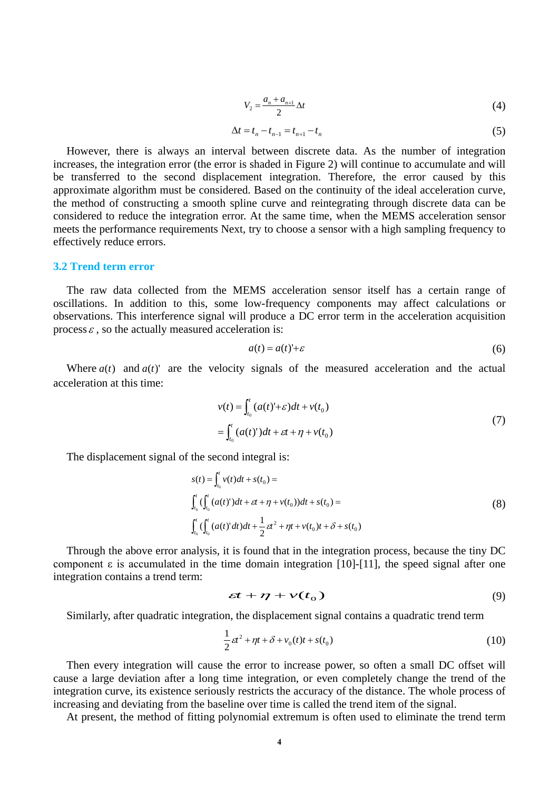$$
V_2 = \frac{a_n + a_{n+1}}{2} \Delta t \tag{4}
$$

$$
\Delta t = t_n - t_{n-1} = t_{n+1} - t_n \tag{5}
$$

However, there is always an interval between discrete data. As the number of integration increases, the integration error (the error is shaded in Figure 2) will continue to accumulate and will be transferred to the second displacement integration. Therefore, the error caused by this approximate algorithm must be considered. Based on the continuity of the ideal acceleration curve, the method of constructing a smooth spline curve and reintegrating through discrete data can be considered to reduce the integration error. At the same time, when the MEMS acceleration sensor meets the performance requirements Next, try to choose a sensor with a high sampling frequency to effectively reduce errors.

# **3.2 Trend term error**

The raw data collected from the MEMS acceleration sensor itself has a certain range of oscillations. In addition to this, some low-frequency components may affect calculations or observations. This interference signal will produce a DC error term in the acceleration acquisition process  $\varepsilon$ , so the actually measured acceleration is:

$$
a(t) = a(t)^{T} + \varepsilon
$$
\n<sup>(6)</sup>

Where  $a(t)$  and  $a(t)$ ' are the velocity signals of the measured acceleration and the actual acceleration at this time:

$$
v(t) = \int_{t_0}^t (a(t)^1 + \varepsilon) dt + v(t_0)
$$
  
= 
$$
\int_{t_0}^t (a(t)^r) dt + \varepsilon t + \eta + v(t_0)
$$
 (7)

The displacement signal of the second integral is:

$$
s(t) = \int_{t_0}^t v(t)dt + s(t_0) =
$$
  

$$
\int_{t_0}^t (\int_{t_0}^t (a(t)')dt + \varepsilon t + \eta + v(t_0))dt + s(t_0) =
$$
  

$$
\int_{t_0}^t (\int_{t_0}^t (a(t)'dt)dt + \frac{1}{2}\varepsilon t^2 + \eta t + v(t_0)t + \delta + s(t_0)
$$
 (8)

Through the above error analysis, it is found that in the integration process, because the tiny DC component  $\varepsilon$  is accumulated in the time domain integration [10]-[11], the speed signal after one integration contains a trend term:

$$
\varepsilon t + \eta + \nu(t_0) \tag{9}
$$

Similarly, after quadratic integration, the displacement signal contains a quadratic trend term

$$
\frac{1}{2}\varepsilon t^2 + \eta t + \delta + v_0(t)t + s(t_0)
$$
\n(10)

Then every integration will cause the error to increase power, so often a small DC offset will cause a large deviation after a long time integration, or even completely change the trend of the integration curve, its existence seriously restricts the accuracy of the distance. The whole process of increasing and deviating from the baseline over time is called the trend item of the signal.

At present, the method of fitting polynomial extremum is often used to eliminate the trend term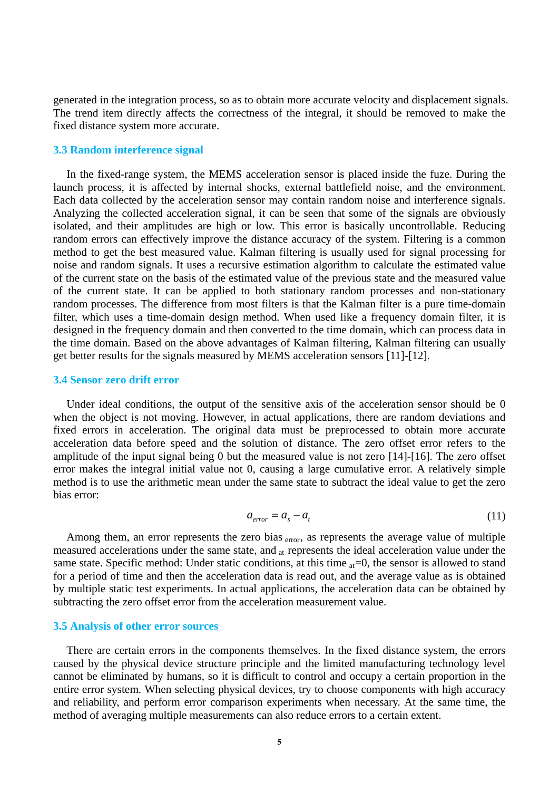generated in the integration process, so as to obtain more accurate velocity and displacement signals. The trend item directly affects the correctness of the integral, it should be removed to make the fixed distance system more accurate.

### **3.3 Random interference signal**

In the fixed-range system, the MEMS acceleration sensor is placed inside the fuze. During the launch process, it is affected by internal shocks, external battlefield noise, and the environment. Each data collected by the acceleration sensor may contain random noise and interference signals. Analyzing the collected acceleration signal, it can be seen that some of the signals are obviously isolated, and their amplitudes are high or low. This error is basically uncontrollable. Reducing random errors can effectively improve the distance accuracy of the system. Filtering is a common method to get the best measured value. Kalman filtering is usually used for signal processing for noise and random signals. It uses a recursive estimation algorithm to calculate the estimated value of the current state on the basis of the estimated value of the previous state and the measured value of the current state. It can be applied to both stationary random processes and non-stationary random processes. The difference from most filters is that the Kalman filter is a pure time-domain filter, which uses a time-domain design method. When used like a frequency domain filter, it is designed in the frequency domain and then converted to the time domain, which can process data in the time domain. Based on the above advantages of Kalman filtering, Kalman filtering can usually get better results for the signals measured by MEMS acceleration sensors [11]-[12].

#### **3.4 Sensor zero drift error**

Under ideal conditions, the output of the sensitive axis of the acceleration sensor should be 0 when the object is not moving. However, in actual applications, there are random deviations and fixed errors in acceleration. The original data must be preprocessed to obtain more accurate acceleration data before speed and the solution of distance. The zero offset error refers to the amplitude of the input signal being 0 but the measured value is not zero [14]-[16]. The zero offset error makes the integral initial value not 0, causing a large cumulative error. A relatively simple method is to use the arithmetic mean under the same state to subtract the ideal value to get the zero bias error:

$$
a_{error} = a_s - a_t \tag{11}
$$

Among them, an error represents the zero bias <sub>error</sub>, as represents the average value of multiple measured accelerations under the same state, and <sub>at</sub> represents the ideal acceleration value under the same state. Specific method: Under static conditions, at this time  $_{at}=0$ , the sensor is allowed to stand for a period of time and then the acceleration data is read out, and the average value as is obtained by multiple static test experiments. In actual applications, the acceleration data can be obtained by subtracting the zero offset error from the acceleration measurement value.

# **3.5 Analysis of other error sources**

There are certain errors in the components themselves. In the fixed distance system, the errors caused by the physical device structure principle and the limited manufacturing technology level cannot be eliminated by humans, so it is difficult to control and occupy a certain proportion in the entire error system. When selecting physical devices, try to choose components with high accuracy and reliability, and perform error comparison experiments when necessary. At the same time, the method of averaging multiple measurements can also reduce errors to a certain extent.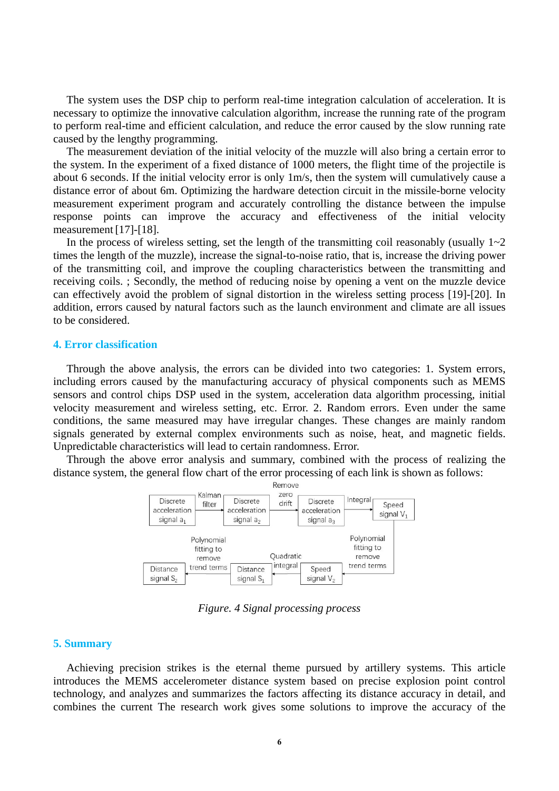The system uses the DSP chip to perform real-time integration calculation of acceleration. It is necessary to optimize the innovative calculation algorithm, increase the running rate of the program to perform real-time and efficient calculation, and reduce the error caused by the slow running rate caused by the lengthy programming.

The measurement deviation of the initial velocity of the muzzle will also bring a certain error to the system. In the experiment of a fixed distance of 1000 meters, the flight time of the projectile is about 6 seconds. If the initial velocity error is only 1m/s, then the system will cumulatively cause a distance error of about 6m. Optimizing the hardware detection circuit in the missile-borne velocity measurement experiment program and accurately controlling the distance between the impulse response points can improve the accuracy and effectiveness of the initial velocity measurement [17]-[18].

In the process of wireless setting, set the length of the transmitting coil reasonably (usually  $1-2$ times the length of the muzzle), increase the signal-to-noise ratio, that is, increase the driving power of the transmitting coil, and improve the coupling characteristics between the transmitting and receiving coils. ; Secondly, the method of reducing noise by opening a vent on the muzzle device can effectively avoid the problem of signal distortion in the wireless setting process [19]-[20]. In addition, errors caused by natural factors such as the launch environment and climate are all issues to be considered.

# **4. Error classification**

Through the above analysis, the errors can be divided into two categories: 1. System errors, including errors caused by the manufacturing accuracy of physical components such as MEMS sensors and control chips DSP used in the system, acceleration data algorithm processing, initial velocity measurement and wireless setting, etc. Error. 2. Random errors. Even under the same conditions, the same measured may have irregular changes. These changes are mainly random signals generated by external complex environments such as noise, heat, and magnetic fields. Unpredictable characteristics will lead to certain randomness. Error.

Through the above error analysis and summary, combined with the process of realizing the distance system, the general flow chart of the error processing of each link is shown as follows:



*Figure. 4 Signal processing process* 

# **5. Summary**

Achieving precision strikes is the eternal theme pursued by artillery systems. This article introduces the MEMS accelerometer distance system based on precise explosion point control technology, and analyzes and summarizes the factors affecting its distance accuracy in detail, and combines the current The research work gives some solutions to improve the accuracy of the